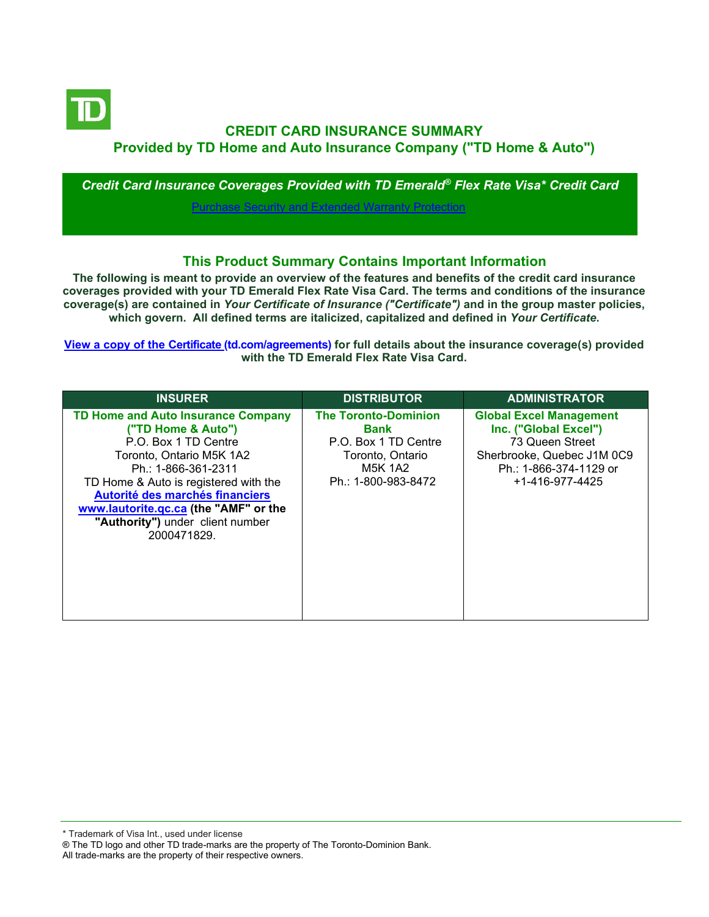

# **CREDIT CARD INSURANCE SUMMARY Provided by TD Home and Auto Insurance Company ("TD Home & Auto")**

*Credit Card Insurance Coverages Provided with TD Emerald® Flex Rate Visa\* Credit Card*

[Purchase Security and Extended Warranty Protection](#page-2-0)

## **This Product Summary Contains Important Information**

**The following is meant to provide an overview of the features and benefits of the credit card insurance coverages provided with your TD Emerald Flex Rate Visa Card. The terms and conditions of the insurance coverage(s) are contained in** *Your Certificate of Insurance ("Certificate")* **and in the group master policies, which govern. All defined terms are italicized, capitalized and defined in** *Your Certificate***.**

**[View a copy of the Certificate](https://www.td.com/ca/en/personal-banking/how-to/manage-my-credit-card/getting-started/?tdtab=4) (td.com/agreements) for full details about the insurance coverage(s) provided with the TD Emerald Flex Rate Visa Card.**

| <b>INSURER</b>                                                                                                                                                                                                                                                                                                     | <b>DISTRIBUTOR</b>                                                                                                              | <b>ADMINISTRATOR</b>                                                                                                                                  |
|--------------------------------------------------------------------------------------------------------------------------------------------------------------------------------------------------------------------------------------------------------------------------------------------------------------------|---------------------------------------------------------------------------------------------------------------------------------|-------------------------------------------------------------------------------------------------------------------------------------------------------|
| <b>TD Home and Auto Insurance Company</b><br>("TD Home & Auto")<br>P.O. Box 1 TD Centre<br>Toronto, Ontario M5K 1A2<br>Ph.: 1-866-361-2311<br>TD Home & Auto is registered with the<br>Autorité des marchés financiers<br>www.lautorite.qc.ca (the "AMF" or the<br>"Authority") under client number<br>2000471829. | <b>The Toronto-Dominion</b><br><b>Bank</b><br>P.O. Box 1 TD Centre<br>Toronto, Ontario<br><b>M5K 1A2</b><br>Ph.: 1-800-983-8472 | <b>Global Excel Management</b><br>Inc. ("Global Excel")<br>73 Queen Street<br>Sherbrooke, Quebec J1M 0C9<br>Ph.: 1-866-374-1129 or<br>+1-416-977-4425 |

\* Trademark of Visa Int., used under license

All trade-marks are the property of their respective owners.

<sup>®</sup> The TD logo and other TD trade-marks are the property of The Toronto-Dominion Bank.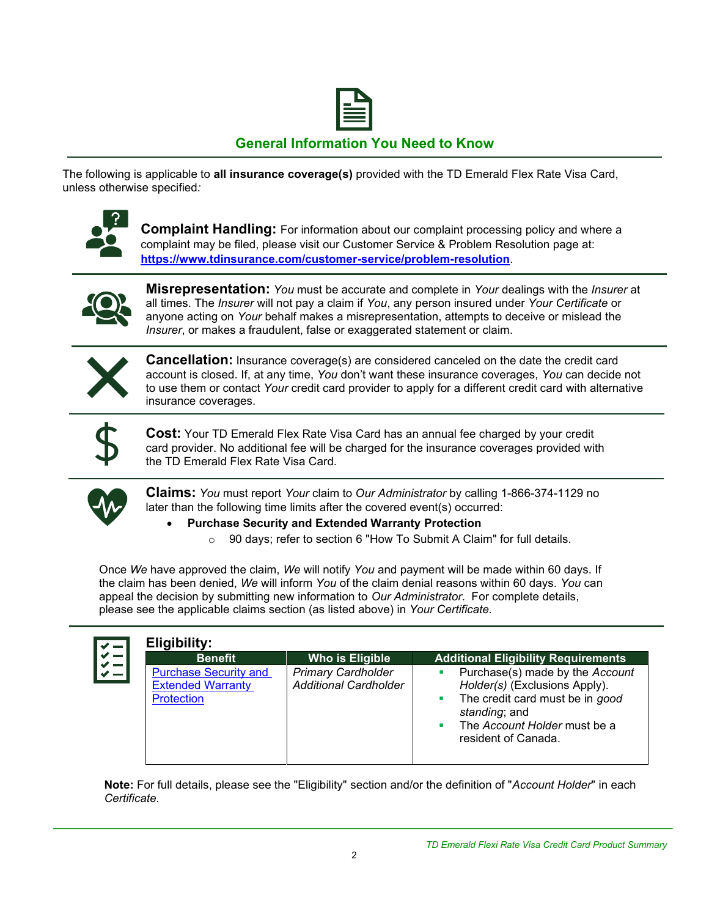

## **General Information You Need to Know**

The following is applicable to **all insurance coverage(s)** provided with the TD Emerald Flex Rate Visa Card, unless otherwise specified*:*



**Complaint Handling:** For information about our complaint processing policy and where a complaint may be filed, please visit our Customer Service & Problem Resolution page at: **<https://www.tdinsurance.com/customer-service/problem-resolution>**.



**Misrepresentation:** *You* must be accurate and complete in *Your* dealings with the *Insurer* at all times. The *Insurer* will not pay a claim if *You*, any person insured under *Your Certificate* or anyone acting on *Your* behalf makes a misrepresentation, attempts to deceive or mislead the *Insurer*, or makes a fraudulent, false or exaggerated statement or claim.



**Cancellation:** Insurance coverage(s) are considered canceled on the date the credit card account is closed. If, at any time, *You* don't want these insurance coverages, *You* can decide not to use them or contact *Your* credit card provider to apply for a different credit card with alternative insurance coverages.



**Cost:** Your TD Emerald Flex Rate Visa Card has an annual fee charged by your credit card provider. No additional fee will be charged for the insurance coverages provided with the TD Emerald Flex Rate Visa Card.



**Claims:** *You* must report *Your* claim to *Our Administrator* by calling 1-866-374-1129 no later than the following time limits after the covered event(s) occurred:

### • **Purchase Security and Extended Warranty Protection**

o 90 days; refer to section 6 "How To Submit A Claim" for full details.

Once *We* have approved the claim, *We* will notify *You* and payment will be made within 60 days. If the claim has been denied, *We* will inform *You* of the claim denial reasons within 60 days. *You* can appeal the decision by submitting new information to *Our Administrator*. For complete details, please see the applicable claims section (as listed above) in *Your Certificate.*

| <b>Benefit</b>                                                                | Who is Eligible                                           | <b>Additional Eligibility Requirements</b>                                                                                                                                        |
|-------------------------------------------------------------------------------|-----------------------------------------------------------|-----------------------------------------------------------------------------------------------------------------------------------------------------------------------------------|
| <b>Purchase Security and</b><br><b>Extended Warranty</b><br><b>Protection</b> | <b>Primary Cardholder</b><br><b>Additional Cardholder</b> | • Purchase(s) made by the Account<br>Holder(s) (Exclusions Apply).<br>• The credit card must be in good<br>standing; and<br>• The Account Holder must be a<br>resident of Canada. |

**Note:** For full details, please see the "Eligibility" section and/or the definition of "*Account Holder*" in each *Certificate*.